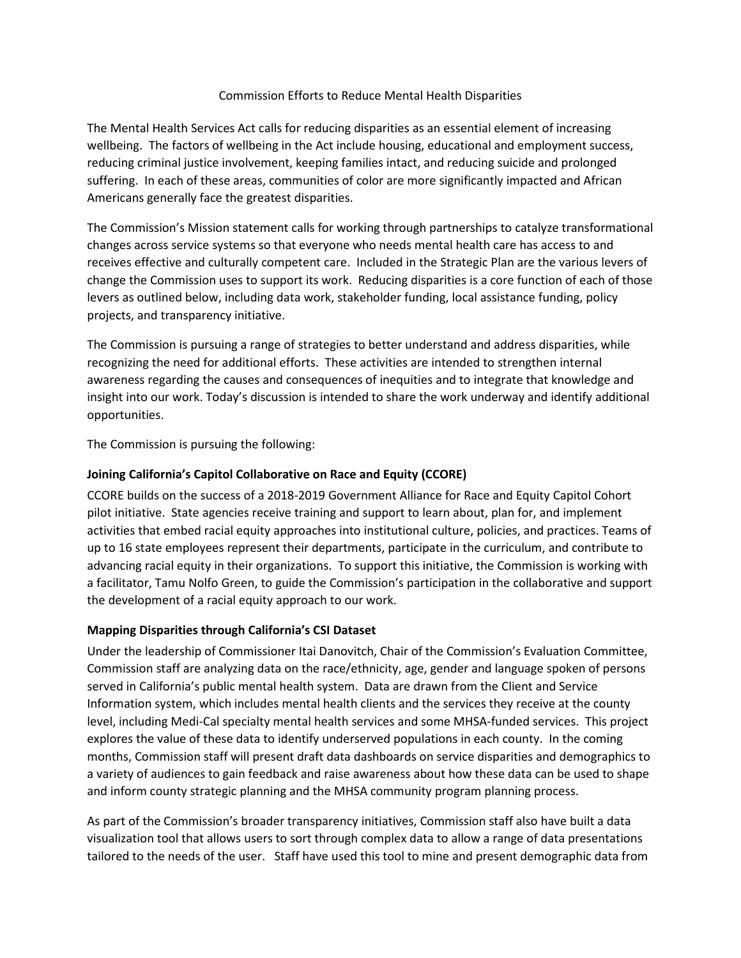#### Commission Efforts to Reduce Mental Health Disparities

The Mental Health Services Act calls for reducing disparities as an essential element of increasing wellbeing. The factors of wellbeing in the Act include housing, educational and employment success, reducing criminal justice involvement, keeping families intact, and reducing suicide and prolonged suffering. In each of these areas, communities of color are more significantly impacted and African Americans generally face the greatest disparities.

The Commission's Mission statement calls for working through partnerships to catalyze transformational changes across service systems so that everyone who needs mental health care has access to and receives effective and culturally competent care. Included in the Strategic Plan are the various levers of change the Commission uses to support its work. Reducing disparities is a core function of each of those levers as outlined below, including data work, stakeholder funding, local assistance funding, policy projects, and transparency initiative.

The Commission is pursuing a range of strategies to better understand and address disparities, while recognizing the need for additional efforts. These activities are intended to strengthen internal awareness regarding the causes and consequences of inequities and to integrate that knowledge and insight into our work. Today's discussion is intended to share the work underway and identify additional opportunities.

The Commission is pursuing the following:

## **Joining California's Capitol Collaborative on Race and Equity (CCORE)**

CCORE builds on the success of a 2018-2019 Government Alliance for Race and Equity Capitol Cohort pilot initiative. State agencies receive training and support to learn about, plan for, and implement activities that embed racial equity approaches into institutional culture, policies, and practices. Teams of up to 16 state employees represent their departments, participate in the curriculum, and contribute to advancing racial equity in their organizations. To support this initiative, the Commission is working with a facilitator, Tamu Nolfo Green, to guide the Commission's participation in the collaborative and support the development of a racial equity approach to our work.

## **Mapping Disparities through California's CSI Dataset**

Under the leadership of Commissioner Itai Danovitch, Chair of the Commission's Evaluation Committee, Commission staff are analyzing data on the race/ethnicity, age, gender and language spoken of persons served in California's public mental health system. Data are drawn from the Client and Service Information system, which includes mental health clients and the services they receive at the county level, including Medi-Cal specialty mental health services and some MHSA-funded services. This project explores the value of these data to identify underserved populations in each county. In the coming months, Commission staff will present draft data dashboards on service disparities and demographics to a variety of audiences to gain feedback and raise awareness about how these data can be used to shape and inform county strategic planning and the MHSA community program planning process.

As part of the Commission's broader transparency initiatives, Commission staff also have built a data visualization tool that allows users to sort through complex data to allow a range of data presentations tailored to the needs of the user. Staff have used this tool to mine and present demographic data from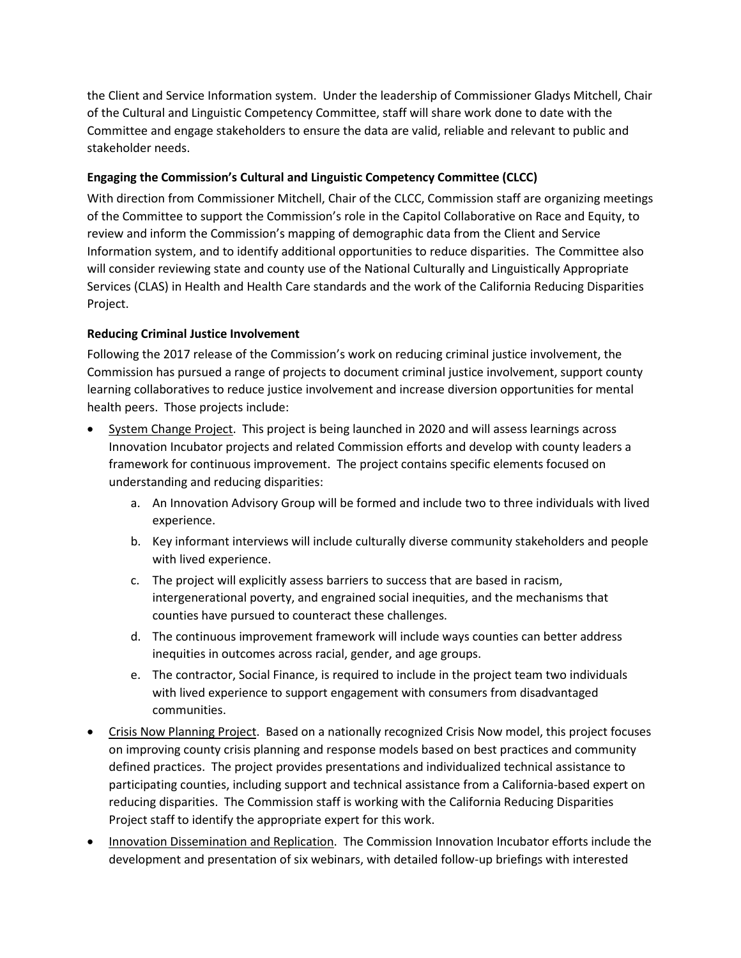the Client and Service Information system. Under the leadership of Commissioner Gladys Mitchell, Chair of the Cultural and Linguistic Competency Committee, staff will share work done to date with the Committee and engage stakeholders to ensure the data are valid, reliable and relevant to public and stakeholder needs.

## **Engaging the Commission's Cultural and Linguistic Competency Committee (CLCC)**

With direction from Commissioner Mitchell, Chair of the CLCC, Commission staff are organizing meetings of the Committee to support the Commission's role in the Capitol Collaborative on Race and Equity, to review and inform the Commission's mapping of demographic data from the Client and Service Information system, and to identify additional opportunities to reduce disparities. The Committee also will consider reviewing state and county use of the National Culturally and Linguistically Appropriate Services (CLAS) in Health and Health Care standards and the work of the California Reducing Disparities Project.

# **Reducing Criminal Justice Involvement**

Following the 2017 release of the Commission's work on reducing criminal justice involvement, the Commission has pursued a range of projects to document criminal justice involvement, support county learning collaboratives to reduce justice involvement and increase diversion opportunities for mental health peers. Those projects include:

- System Change Project. This project is being launched in 2020 and will assess learnings across Innovation Incubator projects and related Commission efforts and develop with county leaders a framework for continuous improvement. The project contains specific elements focused on understanding and reducing disparities:
	- a. An Innovation Advisory Group will be formed and include two to three individuals with lived experience.
	- b. Key informant interviews will include culturally diverse community stakeholders and people with lived experience.
	- c. The project will explicitly assess barriers to success that are based in racism, intergenerational poverty, and engrained social inequities, and the mechanisms that counties have pursued to counteract these challenges.
	- d. The continuous improvement framework will include ways counties can better address inequities in outcomes across racial, gender, and age groups.
	- e. The contractor, Social Finance, is required to include in the project team two individuals with lived experience to support engagement with consumers from disadvantaged communities.
- Crisis Now Planning Project. Based on a nationally recognized Crisis Now model, this project focuses on improving county crisis planning and response models based on best practices and community defined practices. The project provides presentations and individualized technical assistance to participating counties, including support and technical assistance from a California-based expert on reducing disparities. The Commission staff is working with the California Reducing Disparities Project staff to identify the appropriate expert for this work.
- Innovation Dissemination and Replication. The Commission Innovation Incubator efforts include the development and presentation of six webinars, with detailed follow-up briefings with interested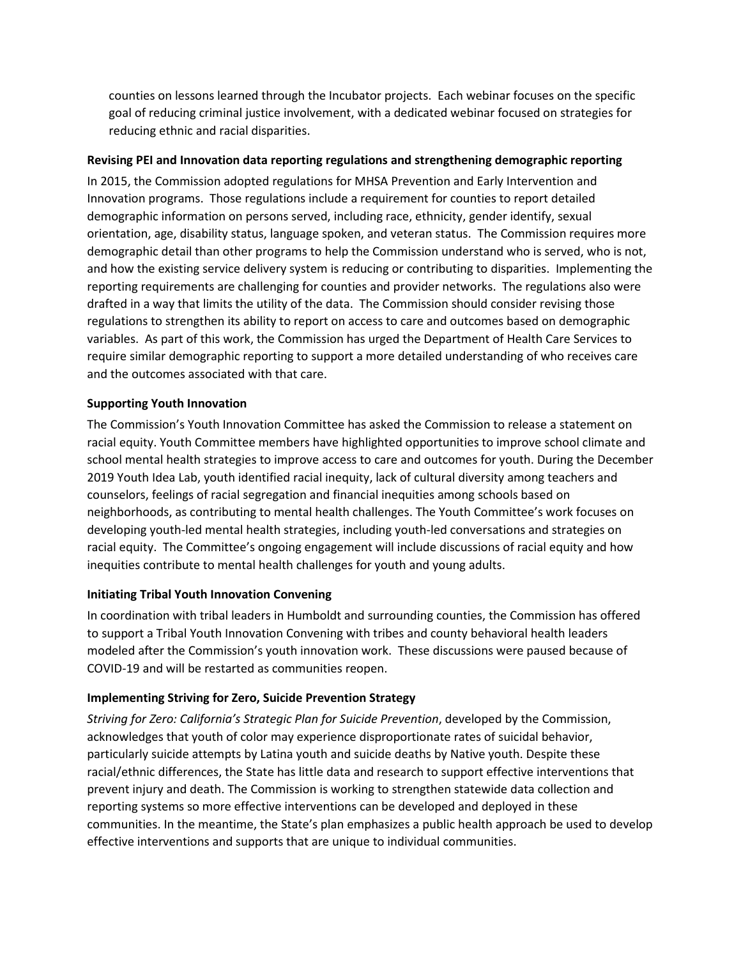counties on lessons learned through the Incubator projects. Each webinar focuses on the specific goal of reducing criminal justice involvement, with a dedicated webinar focused on strategies for reducing ethnic and racial disparities.

## **Revising PEI and Innovation data reporting regulations and strengthening demographic reporting**

In 2015, the Commission adopted regulations for MHSA Prevention and Early Intervention and Innovation programs. Those regulations include a requirement for counties to report detailed demographic information on persons served, including race, ethnicity, gender identify, sexual orientation, age, disability status, language spoken, and veteran status. The Commission requires more demographic detail than other programs to help the Commission understand who is served, who is not, and how the existing service delivery system is reducing or contributing to disparities. Implementing the reporting requirements are challenging for counties and provider networks. The regulations also were drafted in a way that limits the utility of the data. The Commission should consider revising those regulations to strengthen its ability to report on access to care and outcomes based on demographic variables. As part of this work, the Commission has urged the Department of Health Care Services to require similar demographic reporting to support a more detailed understanding of who receives care and the outcomes associated with that care.

## **Supporting Youth Innovation**

The Commission's Youth Innovation Committee has asked the Commission to release a statement on racial equity. Youth Committee members have highlighted opportunities to improve school climate and school mental health strategies to improve access to care and outcomes for youth. During the December 2019 Youth Idea Lab, youth identified racial inequity, lack of cultural diversity among teachers and counselors, feelings of racial segregation and financial inequities among schools based on neighborhoods, as contributing to mental health challenges. The Youth Committee's work focuses on developing youth-led mental health strategies, including youth-led conversations and strategies on racial equity. The Committee's ongoing engagement will include discussions of racial equity and how inequities contribute to mental health challenges for youth and young adults.

## **Initiating Tribal Youth Innovation Convening**

In coordination with tribal leaders in Humboldt and surrounding counties, the Commission has offered to support a Tribal Youth Innovation Convening with tribes and county behavioral health leaders modeled after the Commission's youth innovation work. These discussions were paused because of COVID-19 and will be restarted as communities reopen.

## **Implementing Striving for Zero, Suicide Prevention Strategy**

*Striving for Zero: California's Strategic Plan for Suicide Prevention*, developed by the Commission, acknowledges that youth of color may experience disproportionate rates of suicidal behavior, particularly suicide attempts by Latina youth and suicide deaths by Native youth. Despite these racial/ethnic differences, the State has little data and research to support effective interventions that prevent injury and death. The Commission is working to strengthen statewide data collection and reporting systems so more effective interventions can be developed and deployed in these communities. In the meantime, the State's plan emphasizes a public health approach be used to develop effective interventions and supports that are unique to individual communities.